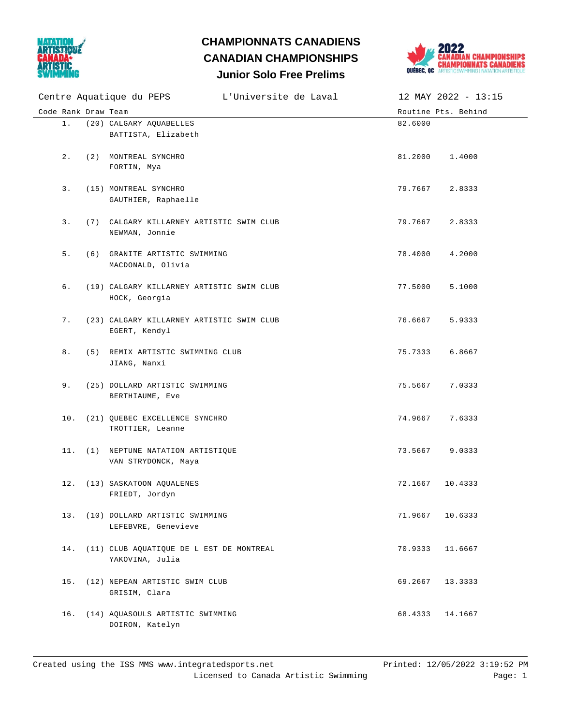

## **Junior Solo Free Prelims CHAMPIONNATS CANADIENS CANADIAN CHAMPIONSHIPS**



|                     | Centre Aquatique du PEPS L'Universite de Laval              |                 | 12 MAY 2022 - 13:15 |
|---------------------|-------------------------------------------------------------|-----------------|---------------------|
| Code Rank Draw Team |                                                             |                 | Routine Pts. Behind |
| $1$ .               | (20) CALGARY AQUABELLES<br>BATTISTA, Elizabeth              | 82.6000         |                     |
| $2$ .               | (2) MONTREAL SYNCHRO<br>FORTIN, Mya                         | 81.2000         | 1.4000              |
| 3.                  | (15) MONTREAL SYNCHRO<br>GAUTHIER, Raphaelle                | 79.7667         | 2.8333              |
| 3.                  | (7) CALGARY KILLARNEY ARTISTIC SWIM CLUB<br>NEWMAN, Jonnie  | 79.7667         | 2.8333              |
| 5.                  | (6) GRANITE ARTISTIC SWIMMING<br>MACDONALD, Olivia          | 78.4000         | 4.2000              |
| б.                  | (19) CALGARY KILLARNEY ARTISTIC SWIM CLUB<br>HOCK, Georgia  | 77.5000         | 5.1000              |
| 7.                  | (23) CALGARY KILLARNEY ARTISTIC SWIM CLUB<br>EGERT, Kendyl  | 76.6667         | 5.9333              |
| 8.                  | (5) REMIX ARTISTIC SWIMMING CLUB<br>JIANG, Nanxi            | 75.7333         | 6.8667              |
| 9.                  | (25) DOLLARD ARTISTIC SWIMMING<br>BERTHIAUME, Eve           | 75.5667         | 7.0333              |
|                     | 10. (21) QUEBEC EXCELLENCE SYNCHRO<br>TROTTIER, Leanne      | 74.9667         | 7.6333              |
|                     | 11. (1) NEPTUNE NATATION ARTISTIQUE<br>VAN STRYDONCK, Maya  | 73.5667         | 9.0333              |
| 12.                 | (13) SASKATOON AQUALENES<br>FRIEDT, Jordyn                  | 72.1667         | 10.4333             |
|                     | 13. (10) DOLLARD ARTISTIC SWIMMING<br>LEFEBVRE, Genevieve   | 71.9667 10.6333 |                     |
| 14.                 | (11) CLUB AQUATIQUE DE L EST DE MONTREAL<br>YAKOVINA, Julia | 70.9333         | 11.6667             |
| 15.                 | (12) NEPEAN ARTISTIC SWIM CLUB<br>GRISIM, Clara             | 69.2667         | 13.3333             |
| 16.                 | (14) AQUASOULS ARTISTIC SWIMMING<br>DOIRON, Katelyn         | 68.4333 14.1667 |                     |